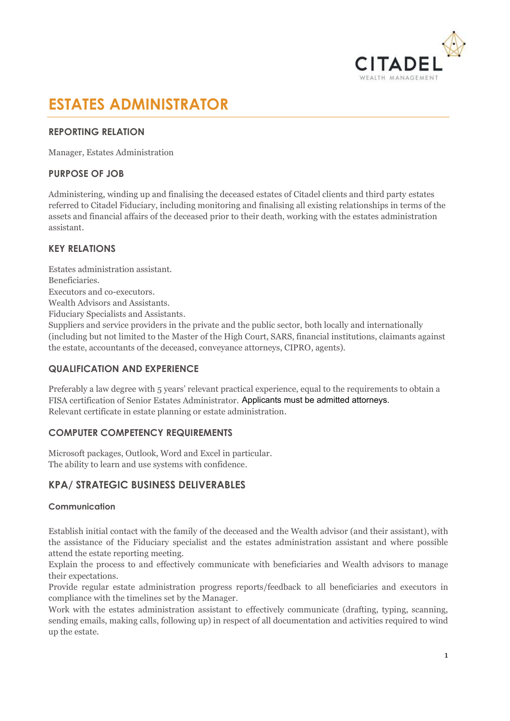

# **ESTATES ADMINISTRATOR**

### **REPORTING RELATION**

Manager, Estates Administration

## **PURPOSE OF JOB**

Administering, winding up and finalising the deceased estates of Citadel clients and third party estates referred to Citadel Fiduciary, including monitoring and finalising all existing relationships in terms of the assets and financial affairs of the deceased prior to their death, working with the estates administration assistant.

## **KEY RELATIONS**

Estates administration assistant. Beneficiaries. Executors and co-executors. Wealth Advisors and Assistants. Fiduciary Specialists and Assistants. Suppliers and service providers in the private and the public sector, both locally and internationally (including but not limited to the Master of the High Court, SARS, financial institutions, claimants against the estate, accountants of the deceased, conveyance attorneys, CIPRO, agents).

#### **QUALIFICATION AND EXPERIENCE**

Preferably a law degree with 5 years' relevant practical experience, equal to the requirements to obtain a FISA certification of Senior Estates Administrator. Applicants must be admitted attorneys. Relevant certificate in estate planning or estate administration.

#### **COMPUTER COMPETENCY REQUIREMENTS**

Microsoft packages, Outlook, Word and Excel in particular. The ability to learn and use systems with confidence.

## **KPA/ STRATEGIC BUSINESS DELIVERABLES**

#### **Communication**

Establish initial contact with the family of the deceased and the Wealth advisor (and their assistant), with the assistance of the Fiduciary specialist and the estates administration assistant and where possible attend the estate reporting meeting.

Explain the process to and effectively communicate with beneficiaries and Wealth advisors to manage their expectations.

Provide regular estate administration progress reports/feedback to all beneficiaries and executors in compliance with the timelines set by the Manager.

Work with the estates administration assistant to effectively communicate (drafting, typing, scanning, sending emails, making calls, following up) in respect of all documentation and activities required to wind up the estate.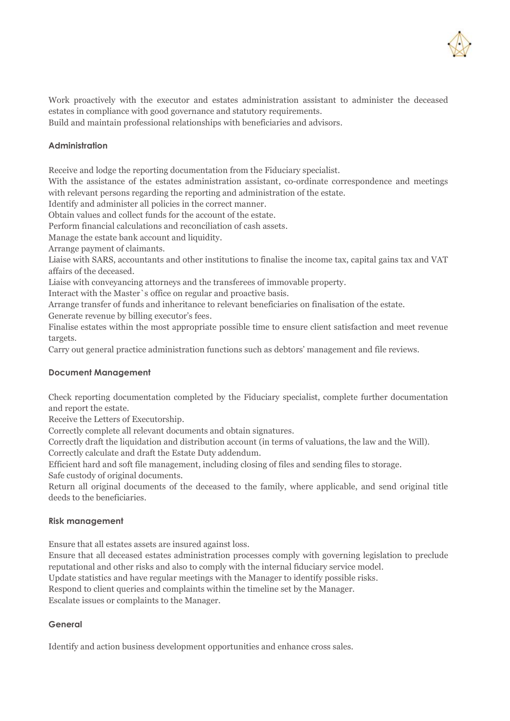

Work proactively with the executor and estates administration assistant to administer the deceased estates in compliance with good governance and statutory requirements.

Build and maintain professional relationships with beneficiaries and advisors.

#### **Administration**

Receive and lodge the reporting documentation from the Fiduciary specialist.

With the assistance of the estates administration assistant, co-ordinate correspondence and meetings with relevant persons regarding the reporting and administration of the estate.

Identify and administer all policies in the correct manner.

Obtain values and collect funds for the account of the estate.

Perform financial calculations and reconciliation of cash assets.

Manage the estate bank account and liquidity.

Arrange payment of claimants.

Liaise with SARS, accountants and other institutions to finalise the income tax, capital gains tax and VAT affairs of the deceased.

Liaise with conveyancing attorneys and the transferees of immovable property.

Interact with the Master`s office on regular and proactive basis.

Arrange transfer of funds and inheritance to relevant beneficiaries on finalisation of the estate.

Generate revenue by billing executor's fees.

Finalise estates within the most appropriate possible time to ensure client satisfaction and meet revenue targets.

Carry out general practice administration functions such as debtors' management and file reviews.

#### **Document Management**

Check reporting documentation completed by the Fiduciary specialist, complete further documentation and report the estate.

Receive the Letters of Executorship.

Correctly complete all relevant documents and obtain signatures.

Correctly draft the liquidation and distribution account (in terms of valuations, the law and the Will).

Correctly calculate and draft the Estate Duty addendum.

Efficient hard and soft file management, including closing of files and sending files to storage.

Safe custody of original documents.

Return all original documents of the deceased to the family, where applicable, and send original title deeds to the beneficiaries.

#### **Risk management**

Ensure that all estates assets are insured against loss.

Ensure that all deceased estates administration processes comply with governing legislation to preclude reputational and other risks and also to comply with the internal fiduciary service model.

Update statistics and have regular meetings with the Manager to identify possible risks.

Respond to client queries and complaints within the timeline set by the Manager.

Escalate issues or complaints to the Manager.

#### **General**

Identify and action business development opportunities and enhance cross sales.